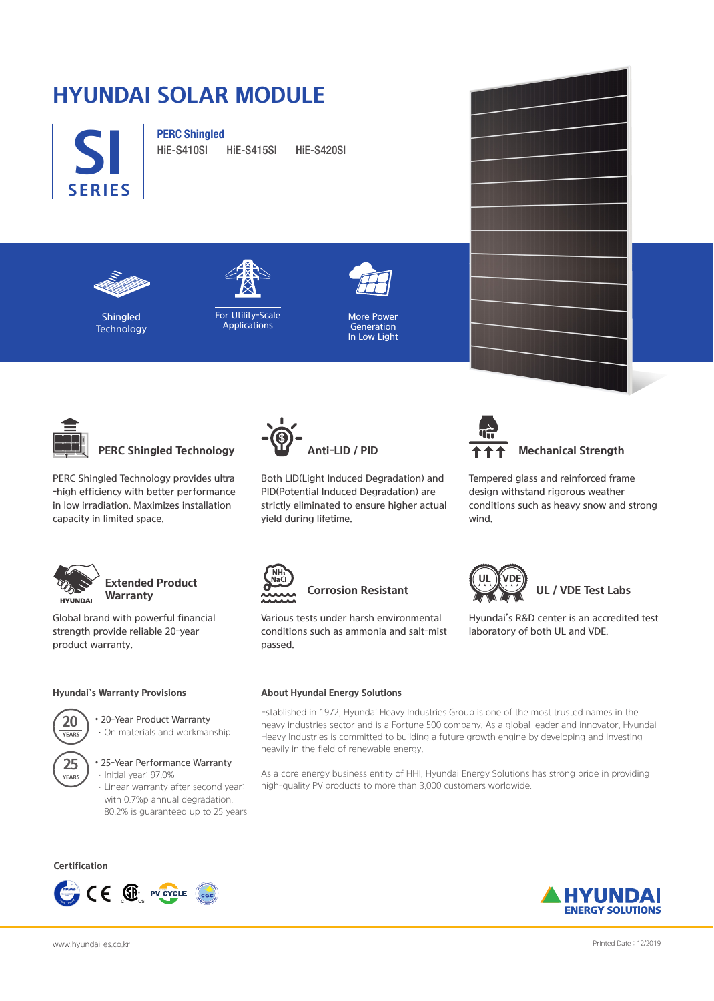# **HYUNDAI SOLAR MODULE**



**PERC Shingled**

HiE-S410SI HiE-S415SI HiE-S420SI



Shingled **Technology** 



**Applications** 



More Power Generation In Low Light



**PERC Shingled Technology**

PERC Shingled Technology provides ultra -high efficiency with better performance in low irradiation. Maximizes installation capacity in limited space.



#### **Extended Product Warranty**

Global brand with powerful financial strength provide reliable 20-year product warranty.

#### **Hyundai's Warranty Provisions**



• 20-Year Product Warranty ·On materials and workmanship

**25**<br>YEARS

#### • 25-Year Performance Warranty ·Initial year: 97.0%

·Linear warranty after second year: with 0.7%p annual degradation, 80.2% is guaranteed up to 25 years

**Certification**





Both LID(Light Induced Degradation) and PID(Potential Induced Degradation) are strictly eliminated to ensure higher actual yield during lifetime.



#### **Mechanical Strength**

Tempered glass and reinforced frame design withstand rigorous weather conditions such as heavy snow and strong wind.

Hyundai's R&D center is an accredited test

**UL / VDE Test Labs** 

laboratory of both UL and VDE.



## **Corrosion Resistant**

Various tests under harsh environmental conditions such as ammonia and salt-mist passed.

#### **About Hyundai Energy Solutions**

Established in 1972, Hyundai Heavy Industries Group is one of the most trusted names in the heavy industries sector and is a Fortune 500 company. As a global leader and innovator, Hyundai Heavy Industries is committed to building a future growth engine by developing and investing heavily in the field of renewable energy.

As a core energy business entity of HHI, Hyundai Energy Solutions has strong pride in providing high-quality PV products to more than 3,000 customers worldwide.